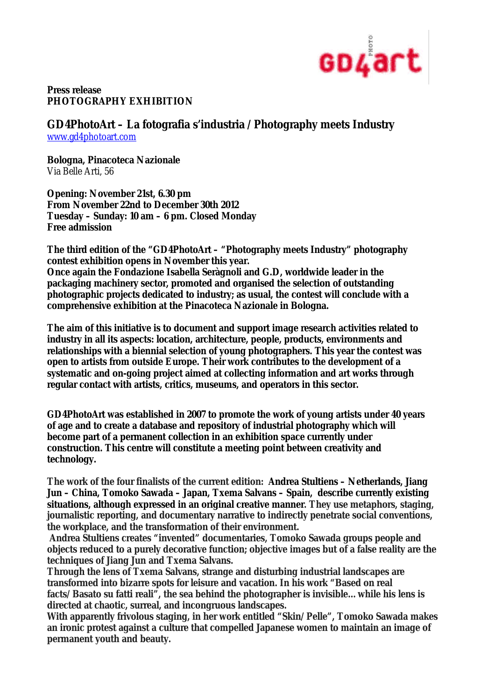

## **Press release PHOTOGRAPHY EXHIBITION**

## **GD4PhotoArt – La fotografia s'industria /Photography meets Industry**

www.gd4photoart.com

**Bologna, Pinacoteca Nazionale** Via Belle Arti, 56

**Opening: November 21st, 6.30 pm From November 22nd to December 30th 2012 Tuesday – Sunday: 10 am – 6 pm. Closed Monday Free admission**

**The third edition of the "GD4PhotoArt – "Photography meets Industry" photography contest exhibition opens in November this year. Once again the Fondazione Isabella Seràgnoli and G.D, worldwide leader in the packaging machinery sector, promoted and organised the selection of outstanding photographic projects dedicated to industry; as usual, the contest will conclude with a comprehensive exhibition at the Pinacoteca Nazionale in Bologna.** 

**The aim of this initiative is to document and support image research activities related to industry in all its aspects: location, architecture, people, products, environments and relationships with a biennial selection of young photographers. This year the contest was open to artists from outside Europe. Their work contributes to the development of a systematic and on-going project aimed at collecting information and art works through regular contact with artists, critics, museums, and operators in this sector.**

**GD4PhotoArt was established in 2007 to promote the work of young artists under 40 years of age and to create a database and repository of industrial photography which will become part of a permanent collection in an exhibition space currently under construction. This centre will constitute a meeting point between creativity and technology.** 

**The work of the four finalists of the current edition: Andrea Stultiens – Netherlands, Jiang Jun – China, Tomoko Sawada – Japan, Txema Salvans – Spain, describe currently existing situations, although expressed in an original creative manner. They use metaphors, staging, journalistic reporting, and documentary narrative to indirectly penetrate social conventions, the workplace, and the transformation of their environment.**

**Andrea Stultiens creates "invented" documentaries, Tomoko Sawada groups people and objects reduced to a purely decorative function; objective images but of a false reality are the techniques of Jiang Jun and Txema Salvans.** 

**Through the lens of Txema Salvans, strange and disturbing industrial landscapes are transformed into bizarre spots for leisure and vacation. In his work "Based on real facts/Basato su fatti reali", the sea behind the photographer is invisible…while his lens is directed at chaotic, surreal, and incongruous landscapes.**

**With apparently frivolous staging, in her work entitled** *"Skin/Pelle",* **Tomoko Sawada makes an ironic protest against a culture that compelled Japanese women to maintain an image of permanent youth and beauty.**